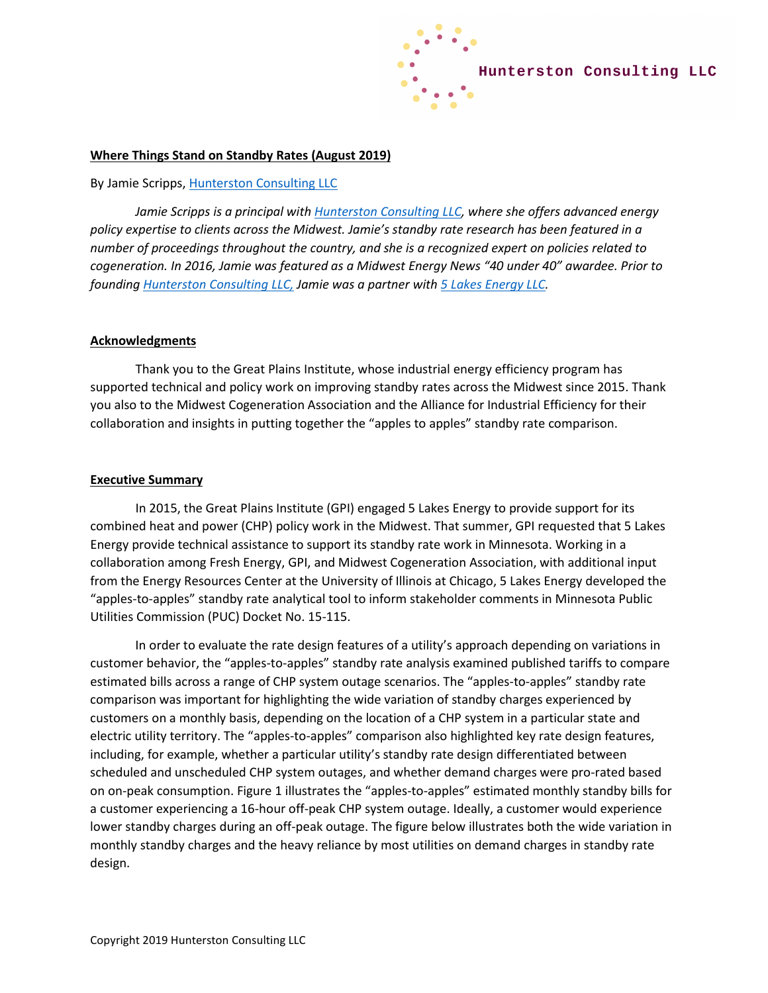

## **Where Things Stand on Standby Rates (August 2019)**

## By Jamie Scripps[, Hunterston Consulting LLC](http://www.hunterstonconsulting.com/)

*Jamie Scripps is a principal wit[h Hunterston Consulting LLC,](http://www.hunterstonconsulting.com/) where she offers advanced energy policy expertise to clients across the Midwest. Jamie's standby rate research has been featured in a number of proceedings throughout the country, and she is a recognized expert on policies related to cogeneration. In 2016, Jamie was featured as a Midwest Energy News "40 under 40" awardee. Prior to founding [Hunterston Consulting LLC,](http://www.hunterstonconsulting.com/) Jamie was a partner with [5 Lakes Energy LLC.](http://www.5lakesenergy.com/)* 

## **Acknowledgments**

Thank you to the Great Plains Institute, whose industrial energy efficiency program has supported technical and policy work on improving standby rates across the Midwest since 2015. Thank you also to the Midwest Cogeneration Association and the Alliance for Industrial Efficiency for their collaboration and insights in putting together the "apples to apples" standby rate comparison.

## **Executive Summary**

In 2015, the Great Plains Institute (GPI) engaged 5 Lakes Energy to provide support for its combined heat and power (CHP) policy work in the Midwest. That summer, GPI requested that 5 Lakes Energy provide technical assistance to support its standby rate work in Minnesota. Working in a collaboration among Fresh Energy, GPI, and Midwest Cogeneration Association, with additional input from the Energy Resources Center at the University of Illinois at Chicago, 5 Lakes Energy developed the "apples-to-apples" standby rate analytical tool to inform stakeholder comments in Minnesota Public Utilities Commission (PUC) Docket No. 15-115.

In order to evaluate the rate design features of a utility's approach depending on variations in customer behavior, the "apples-to-apples" standby rate analysis examined published tariffs to compare estimated bills across a range of CHP system outage scenarios. The "apples-to-apples" standby rate comparison was important for highlighting the wide variation of standby charges experienced by customers on a monthly basis, depending on the location of a CHP system in a particular state and electric utility territory. The "apples-to-apples" comparison also highlighted key rate design features, including, for example, whether a particular utility's standby rate design differentiated between scheduled and unscheduled CHP system outages, and whether demand charges were pro-rated based on on-peak consumption. Figure 1 illustrates the "apples-to-apples" estimated monthly standby bills for a customer experiencing a 16-hour off-peak CHP system outage. Ideally, a customer would experience lower standby charges during an off-peak outage. The figure below illustrates both the wide variation in monthly standby charges and the heavy reliance by most utilities on demand charges in standby rate design.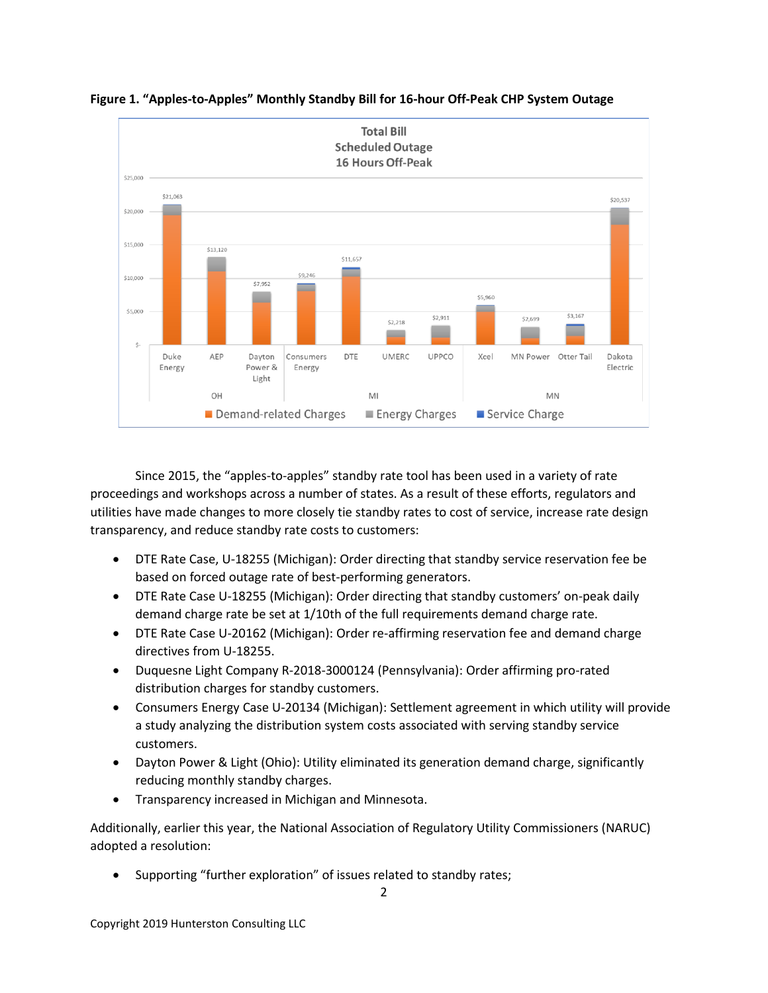

**Figure 1. "Apples-to-Apples" Monthly Standby Bill for 16-hour Off-Peak CHP System Outage**

Since 2015, the "apples-to-apples" standby rate tool has been used in a variety of rate proceedings and workshops across a number of states. As a result of these efforts, regulators and utilities have made changes to more closely tie standby rates to cost of service, increase rate design transparency, and reduce standby rate costs to customers:

- DTE Rate Case, U-18255 (Michigan): Order directing that standby service reservation fee be based on forced outage rate of best-performing generators.
- DTE Rate Case U-18255 (Michigan): Order directing that standby customers' on-peak daily demand charge rate be set at 1/10th of the full requirements demand charge rate.
- DTE Rate Case U-20162 (Michigan): Order re-affirming reservation fee and demand charge directives from U-18255.
- Duquesne Light Company R-2018-3000124 (Pennsylvania): Order affirming pro-rated distribution charges for standby customers.
- Consumers Energy Case U-20134 (Michigan): Settlement agreement in which utility will provide a study analyzing the distribution system costs associated with serving standby service customers.
- Dayton Power & Light (Ohio): Utility eliminated its generation demand charge, significantly reducing monthly standby charges.
- Transparency increased in Michigan and Minnesota.

Additionally, earlier this year, the National Association of Regulatory Utility Commissioners (NARUC) adopted a resolution:

Supporting "further exploration" of issues related to standby rates;